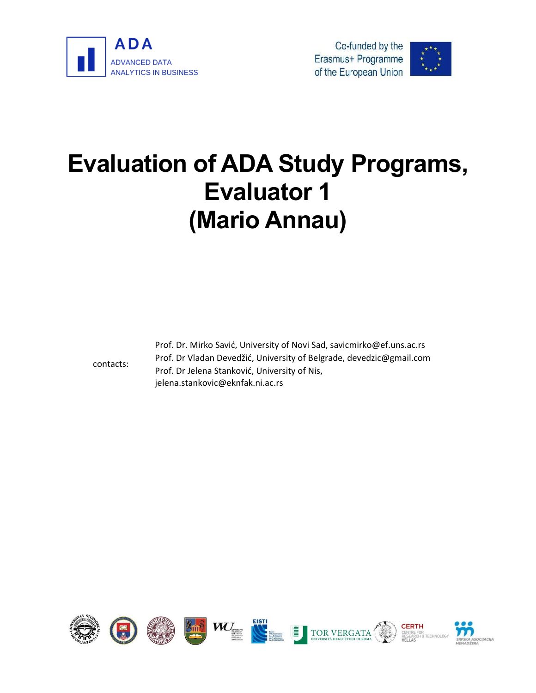





# **Evaluation of ADA Study Programs, Evaluator 1 (Mario Annau)**

contacts:

Prof. Dr. Mirko Savić, University of Novi Sad, savicmirko@ef.uns.ac.rs Prof. Dr Vladan Devedžić, University of Belgrade, devedzic@gmail.com Prof. Dr Jelena Stanković, University of Nis, jelena.stankovic@eknfak.ni.ac.rs

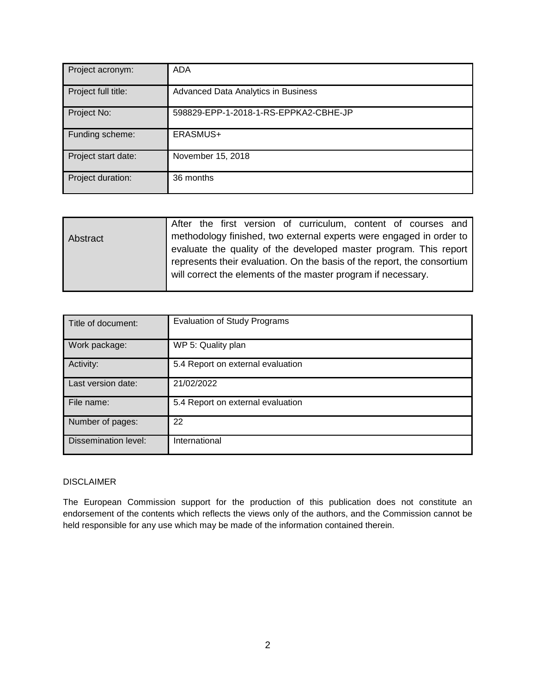| Project acronym:    | <b>ADA</b>                            |
|---------------------|---------------------------------------|
| Project full title: | Advanced Data Analytics in Business   |
| Project No:         | 598829-EPP-1-2018-1-RS-EPPKA2-CBHE-JP |
| Funding scheme:     | ERASMUS+                              |
| Project start date: | November 15, 2018                     |
| Project duration:   | 36 months                             |

|          | After the first version of curriculum, content of courses and           |
|----------|-------------------------------------------------------------------------|
| Abstract | methodology finished, two external experts were engaged in order to     |
|          | evaluate the quality of the developed master program. This report       |
|          | represents their evaluation. On the basis of the report, the consortium |
|          | will correct the elements of the master program if necessary.           |
|          |                                                                         |

| Title of document:          | <b>Evaluation of Study Programs</b> |
|-----------------------------|-------------------------------------|
| Work package:               | WP 5: Quality plan                  |
| Activity:                   | 5.4 Report on external evaluation   |
| Last version date:          | 21/02/2022                          |
| File name:                  | 5.4 Report on external evaluation   |
| Number of pages:            | 22                                  |
| <b>Dissemination level:</b> | International                       |

#### DISCLAIMER

The European Commission support for the production of this publication does not constitute an endorsement of the contents which reflects the views only of the authors, and the Commission cannot be held responsible for any use which may be made of the information contained therein.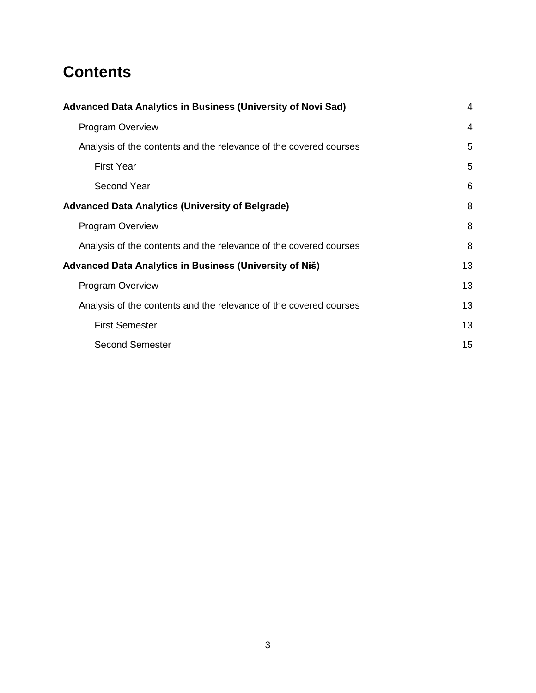# **Contents**

| Advanced Data Analytics in Business (University of Novi Sad)      |    |
|-------------------------------------------------------------------|----|
| <b>Program Overview</b>                                           |    |
| Analysis of the contents and the relevance of the covered courses |    |
| <b>First Year</b>                                                 | 5  |
| Second Year                                                       | 6  |
| <b>Advanced Data Analytics (University of Belgrade)</b>           | 8  |
| <b>Program Overview</b>                                           | 8  |
| Analysis of the contents and the relevance of the covered courses | 8  |
| Advanced Data Analytics in Business (University of Niš)           | 13 |
| <b>Program Overview</b>                                           | 13 |
| Analysis of the contents and the relevance of the covered courses |    |
| <b>First Semester</b>                                             | 13 |
| <b>Second Semester</b>                                            | 15 |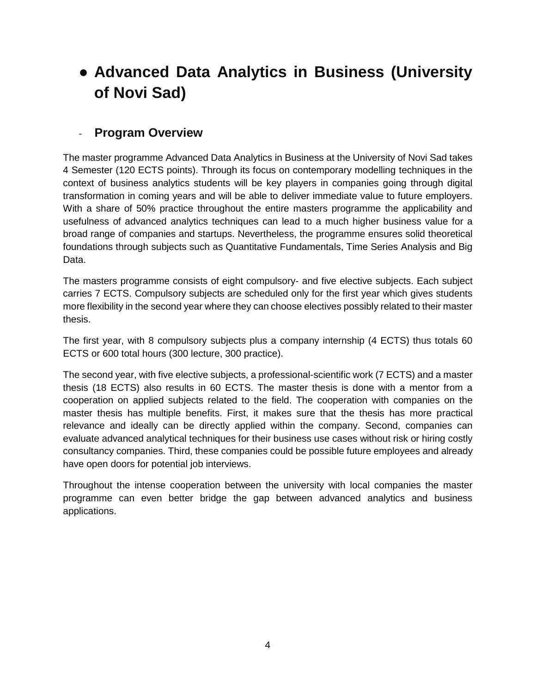# <span id="page-3-0"></span>● **Advanced Data Analytics in Business (University of Novi Sad)**

# <span id="page-3-1"></span>- **Program Overview**

The master programme Advanced Data Analytics in Business at the University of Novi Sad takes 4 Semester (120 ECTS points). Through its focus on contemporary modelling techniques in the context of business analytics students will be key players in companies going through digital transformation in coming years and will be able to deliver immediate value to future employers. With a share of 50% practice throughout the entire masters programme the applicability and usefulness of advanced analytics techniques can lead to a much higher business value for a broad range of companies and startups. Nevertheless, the programme ensures solid theoretical foundations through subjects such as Quantitative Fundamentals, Time Series Analysis and Big Data.

The masters programme consists of eight compulsory- and five elective subjects. Each subject carries 7 ECTS. Compulsory subjects are scheduled only for the first year which gives students more flexibility in the second year where they can choose electives possibly related to their master thesis.

The first year, with 8 compulsory subjects plus a company internship (4 ECTS) thus totals 60 ECTS or 600 total hours (300 lecture, 300 practice).

The second year, with five elective subjects, a professional-scientific work (7 ECTS) and a master thesis (18 ECTS) also results in 60 ECTS. The master thesis is done with a mentor from a cooperation on applied subjects related to the field. The cooperation with companies on the master thesis has multiple benefits. First, it makes sure that the thesis has more practical relevance and ideally can be directly applied within the company. Second, companies can evaluate advanced analytical techniques for their business use cases without risk or hiring costly consultancy companies. Third, these companies could be possible future employees and already have open doors for potential job interviews.

Throughout the intense cooperation between the university with local companies the master programme can even better bridge the gap between advanced analytics and business applications.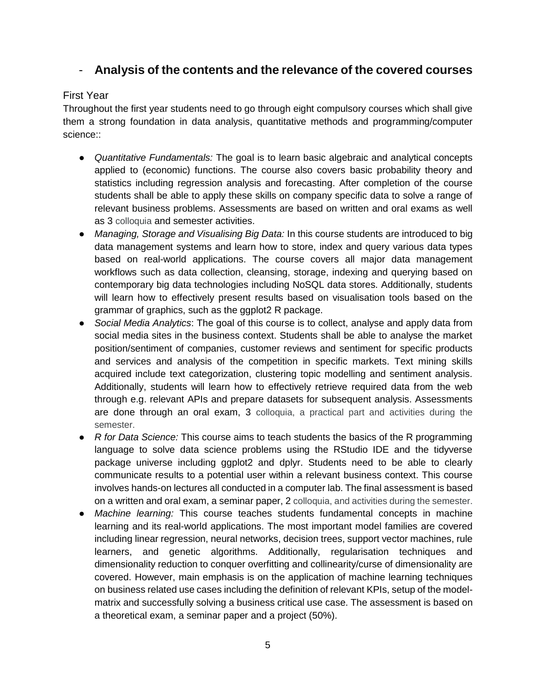# <span id="page-4-0"></span>- **Analysis of the contents and the relevance of the covered courses**

### <span id="page-4-1"></span>First Year

Throughout the first year students need to go through eight compulsory courses which shall give them a strong foundation in data analysis, quantitative methods and programming/computer science::

- *Quantitative Fundamentals:* The goal is to learn basic algebraic and analytical concepts applied to (economic) functions. The course also covers basic probability theory and statistics including regression analysis and forecasting. After completion of the course students shall be able to apply these skills on company specific data to solve a range of relevant business problems. Assessments are based on written and oral exams as well as 3 colloquia and semester activities.
- *Managing, Storage and Visualising Big Data:* In this course students are introduced to big data management systems and learn how to store, index and query various data types based on real-world applications. The course covers all major data management workflows such as data collection, cleansing, storage, indexing and querying based on contemporary big data technologies including NoSQL data stores. Additionally, students will learn how to effectively present results based on visualisation tools based on the grammar of graphics, such as the ggplot2 R package.
- *Social Media Analytics*: The goal of this course is to collect, analyse and apply data from social media sites in the business context. Students shall be able to analyse the market position/sentiment of companies, customer reviews and sentiment for specific products and services and analysis of the competition in specific markets. Text mining skills acquired include text categorization, clustering topic modelling and sentiment analysis. Additionally, students will learn how to effectively retrieve required data from the web through e.g. relevant APIs and prepare datasets for subsequent analysis. Assessments are done through an oral exam, 3 colloquia, a practical part and activities during the semester.
- *R for Data Science:* This course aims to teach students the basics of the R programming language to solve data science problems using the RStudio IDE and the tidyverse package universe including ggplot2 and dplyr. Students need to be able to clearly communicate results to a potential user within a relevant business context. This course involves hands-on lectures all conducted in a computer lab. The final assessment is based on a written and oral exam, a seminar paper, 2 colloquia, and activities during the semester.
- *Machine learning:* This course teaches students fundamental concepts in machine learning and its real-world applications. The most important model families are covered including linear regression, neural networks, decision trees, support vector machines, rule learners, and genetic algorithms. Additionally, regularisation techniques and dimensionality reduction to conquer overfitting and collinearity/curse of dimensionality are covered. However, main emphasis is on the application of machine learning techniques on business related use cases including the definition of relevant KPIs, setup of the modelmatrix and successfully solving a business critical use case. The assessment is based on a theoretical exam, a seminar paper and a project (50%).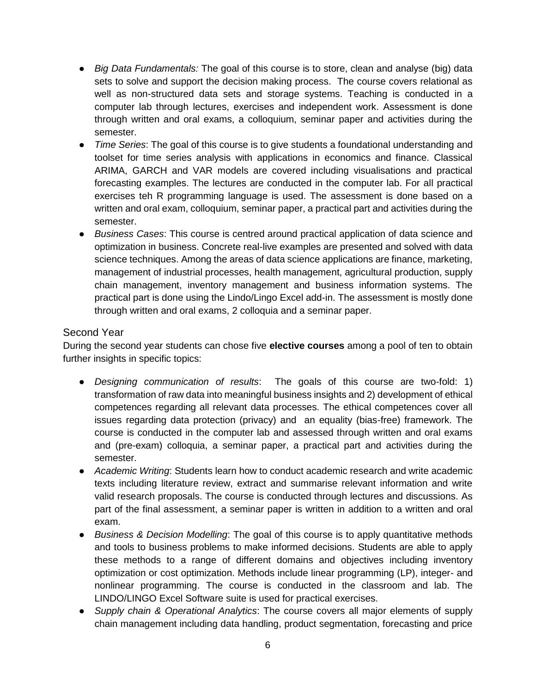- *Big Data Fundamentals:* The goal of this course is to store, clean and analyse (big) data sets to solve and support the decision making process. The course covers relational as well as non-structured data sets and storage systems. Teaching is conducted in a computer lab through lectures, exercises and independent work. Assessment is done through written and oral exams, a colloquium, seminar paper and activities during the semester.
- *Time Series*: The goal of this course is to give students a foundational understanding and toolset for time series analysis with applications in economics and finance. Classical ARIMA, GARCH and VAR models are covered including visualisations and practical forecasting examples. The lectures are conducted in the computer lab. For all practical exercises teh R programming language is used. The assessment is done based on a written and oral exam, colloquium, seminar paper, a practical part and activities during the semester.
- *Business Cases*: This course is centred around practical application of data science and optimization in business. Concrete real-live examples are presented and solved with data science techniques. Among the areas of data science applications are finance, marketing, management of industrial processes, health management, agricultural production, supply chain management, inventory management and business information systems. The practical part is done using the Lindo/Lingo Excel add-in. The assessment is mostly done through written and oral exams, 2 colloquia and a seminar paper.

#### <span id="page-5-0"></span>Second Year

During the second year students can chose five **elective courses** among a pool of ten to obtain further insights in specific topics:

- *Designing communication of results*: The goals of this course are two-fold: 1) transformation of raw data into meaningful business insights and 2) development of ethical competences regarding all relevant data processes. The ethical competences cover all issues regarding data protection (privacy) and an equality (bias-free) framework. The course is conducted in the computer lab and assessed through written and oral exams and (pre-exam) colloquia, a seminar paper, a practical part and activities during the semester.
- *Academic Writing*: Students learn how to conduct academic research and write academic texts including literature review, extract and summarise relevant information and write valid research proposals. The course is conducted through lectures and discussions. As part of the final assessment, a seminar paper is written in addition to a written and oral exam.
- *Business & Decision Modelling*: The goal of this course is to apply quantitative methods and tools to business problems to make informed decisions. Students are able to apply these methods to a range of different domains and objectives including inventory optimization or cost optimization. Methods include linear programming (LP), integer- and nonlinear programming. The course is conducted in the classroom and lab. The LINDO/LINGO Excel Software suite is used for practical exercises.
- *Supply chain & Operational Analytics*: The course covers all major elements of supply chain management including data handling, product segmentation, forecasting and price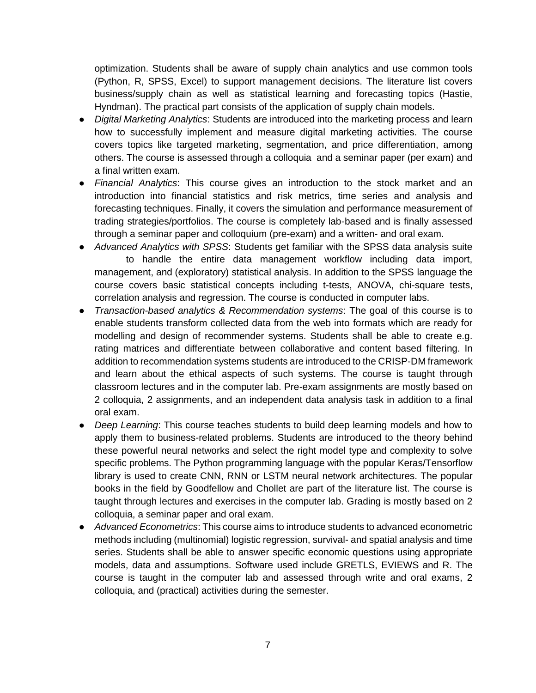optimization. Students shall be aware of supply chain analytics and use common tools (Python, R, SPSS, Excel) to support management decisions. The literature list covers business/supply chain as well as statistical learning and forecasting topics (Hastie, Hyndman). The practical part consists of the application of supply chain models.

- *Digital Marketing Analytics*: Students are introduced into the marketing process and learn how to successfully implement and measure digital marketing activities. The course covers topics like targeted marketing, segmentation, and price differentiation, among others. The course is assessed through a colloquia and a seminar paper (per exam) and a final written exam.
- *Financial Analytics*: This course gives an introduction to the stock market and an introduction into financial statistics and risk metrics, time series and analysis and forecasting techniques. Finally, it covers the simulation and performance measurement of trading strategies/portfolios. The course is completely lab-based and is finally assessed through a seminar paper and colloquium (pre-exam) and a written- and oral exam.
- *Advanced Analytics with SPSS*: Students get familiar with the SPSS data analysis suite to handle the entire data management workflow including data import, management, and (exploratory) statistical analysis. In addition to the SPSS language the course covers basic statistical concepts including t-tests, ANOVA, chi-square tests, correlation analysis and regression. The course is conducted in computer labs.
- *Transaction-based analytics & Recommendation systems*: The goal of this course is to enable students transform collected data from the web into formats which are ready for modelling and design of recommender systems. Students shall be able to create e.g. rating matrices and differentiate between collaborative and content based filtering. In addition to recommendation systems students are introduced to the CRISP-DM framework and learn about the ethical aspects of such systems. The course is taught through classroom lectures and in the computer lab. Pre-exam assignments are mostly based on 2 colloquia, 2 assignments, and an independent data analysis task in addition to a final oral exam.
- *Deep Learning*: This course teaches students to build deep learning models and how to apply them to business-related problems. Students are introduced to the theory behind these powerful neural networks and select the right model type and complexity to solve specific problems. The Python programming language with the popular Keras/Tensorflow library is used to create CNN, RNN or LSTM neural network architectures. The popular books in the field by Goodfellow and Chollet are part of the literature list. The course is taught through lectures and exercises in the computer lab. Grading is mostly based on 2 colloquia, a seminar paper and oral exam.
- *Advanced Econometrics*: This course aims to introduce students to advanced econometric methods including (multinomial) logistic regression, survival- and spatial analysis and time series. Students shall be able to answer specific economic questions using appropriate models, data and assumptions. Software used include GRETLS, EVIEWS and R. The course is taught in the computer lab and assessed through write and oral exams, 2 colloquia, and (practical) activities during the semester.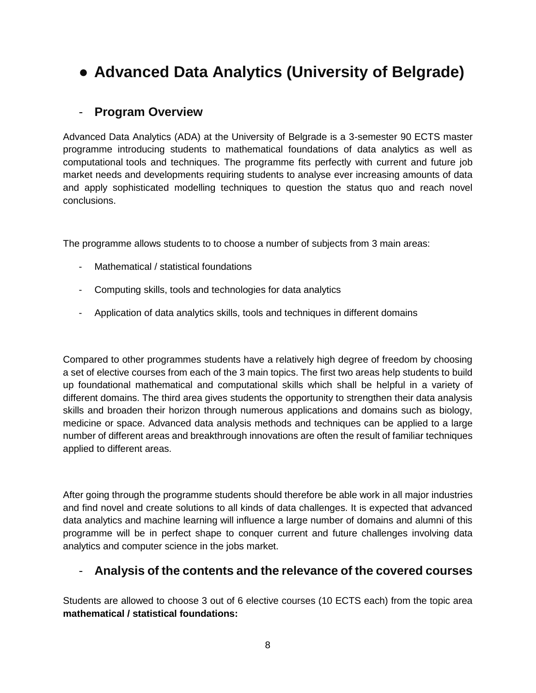# <span id="page-7-0"></span>● **Advanced Data Analytics (University of Belgrade)**

# <span id="page-7-1"></span>- **Program Overview**

Advanced Data Analytics (ADA) at the University of Belgrade is a 3-semester 90 ECTS master programme introducing students to mathematical foundations of data analytics as well as computational tools and techniques. The programme fits perfectly with current and future job market needs and developments requiring students to analyse ever increasing amounts of data and apply sophisticated modelling techniques to question the status quo and reach novel conclusions.

The programme allows students to to choose a number of subjects from 3 main areas:

- Mathematical / statistical foundations
- Computing skills, tools and technologies for data analytics
- Application of data analytics skills, tools and techniques in different domains

Compared to other programmes students have a relatively high degree of freedom by choosing a set of elective courses from each of the 3 main topics. The first two areas help students to build up foundational mathematical and computational skills which shall be helpful in a variety of different domains. The third area gives students the opportunity to strengthen their data analysis skills and broaden their horizon through numerous applications and domains such as biology, medicine or space. Advanced data analysis methods and techniques can be applied to a large number of different areas and breakthrough innovations are often the result of familiar techniques applied to different areas.

After going through the programme students should therefore be able work in all major industries and find novel and create solutions to all kinds of data challenges. It is expected that advanced data analytics and machine learning will influence a large number of domains and alumni of this programme will be in perfect shape to conquer current and future challenges involving data analytics and computer science in the jobs market.

### <span id="page-7-2"></span>- **Analysis of the contents and the relevance of the covered courses**

Students are allowed to choose 3 out of 6 elective courses (10 ECTS each) from the topic area **mathematical / statistical foundations:**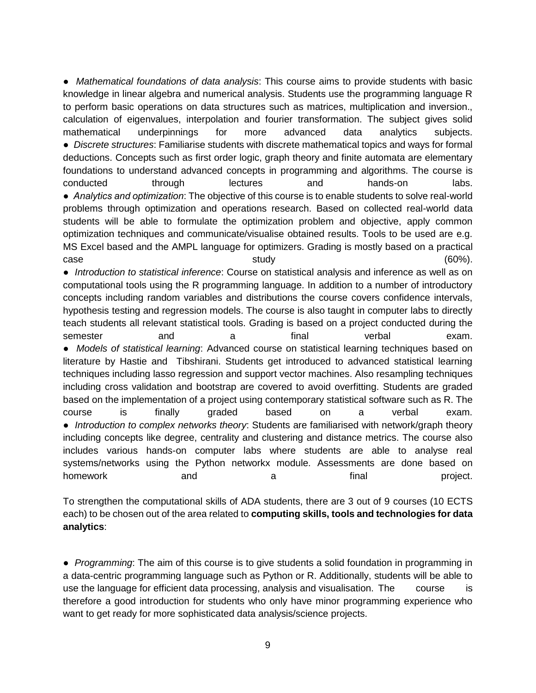● *Mathematical foundations of data analysis*: This course aims to provide students with basic knowledge in linear algebra and numerical analysis. Students use the programming language R to perform basic operations on data structures such as matrices, multiplication and inversion., calculation of eigenvalues, interpolation and fourier transformation. The subject gives solid mathematical underpinnings for more advanced data analytics subjects. ● *Discrete structures*: Familiarise students with discrete mathematical topics and ways for formal deductions. Concepts such as first order logic, graph theory and finite automata are elementary foundations to understand advanced concepts in programming and algorithms. The course is conducted through lectures and hands-on labs. ● *Analytics and оptimization*: The objective of this course is to enable students to solve real-world problems through optimization and operations research. Based on collected real-world data students will be able to formulate the optimization problem and objective, apply common optimization techniques and communicate/visualise obtained results. Tools to be used are e.g. MS Excel based and the AMPL language for optimizers. Grading is mostly based on a practical case  $\qquad \qquad$  study  $\qquad \qquad$  study  $(60\%)$ . ● *Introduction to statistical inference*: Course on statistical analysis and inference as well as on computational tools using the R programming language. In addition to a number of introductory concepts including random variables and distributions the course covers confidence intervals, hypothesis testing and regression models. The course is also taught in computer labs to directly

teach students all relevant statistical tools. Grading is based on a project conducted during the semester and a final verbal exam. ● *Models of statistical learning*: Advanced course on statistical learning techniques based on literature by Hastie and Tibshirani. Students get introduced to advanced statistical learning techniques including lasso regression and support vector machines. Also resampling techniques including cross validation and bootstrap are covered to avoid overfitting. Students are graded based on the implementation of a project using contemporary statistical software such as R. The course is finally graded based on a verbal exam. ● *Introduction to complex networks theory*: Students are familiarised with network/graph theory including concepts like degree, centrality and clustering and distance metrics. The course also includes various hands-on computer labs where students are able to analyse real systems/networks using the Python networkx module. Assessments are done based on homework and a a final project.

To strengthen the computational skills of ADA students, there are 3 out of 9 courses (10 ECTS each) to be chosen out of the area related to **computing skills, tools and technologies for data analytics**:

● *Programming*: The aim of this course is to give students a solid foundation in programming in a data-centric programming language such as Python or R. Additionally, students will be able to use the language for efficient data processing, analysis and visualisation. The course is therefore a good introduction for students who only have minor programming experience who want to get ready for more sophisticated data analysis/science projects.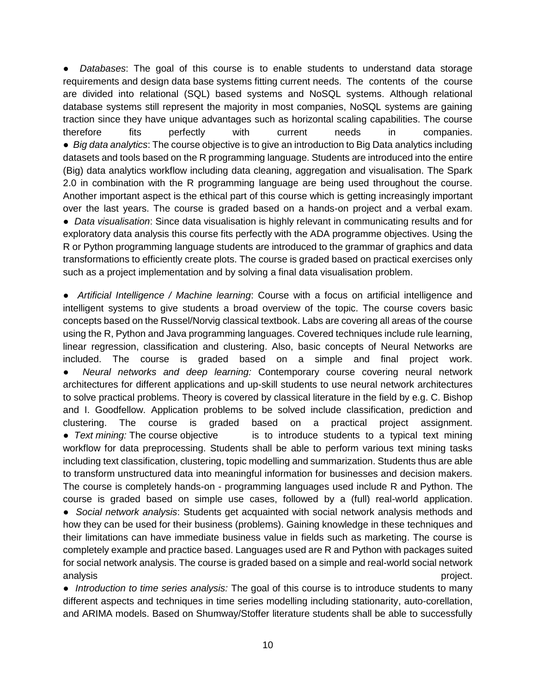Databases: The goal of this course is to enable students to understand data storage requirements and design data base systems fitting current needs. The contents of the course are divided into relational (SQL) based systems and NoSQL systems. Although relational database systems still represent the majority in most companies, NoSQL systems are gaining traction since they have unique advantages such as horizontal scaling capabilities. The course therefore fits perfectly with current needs in companies. ● *Big data analytics*: The course objective is to give an introduction to Big Data analytics including datasets and tools based on the R programming language. Students are introduced into the entire (Big) data analytics workflow including data cleaning, aggregation and visualisation. The Spark 2.0 in combination with the R programming language are being used throughout the course. Another important aspect is the ethical part of this course which is getting increasingly important over the last years. The course is graded based on a hands-on project and a verbal exam. ● *Data visualisation*: Since data visualisation is highly relevant in communicating results and for exploratory data analysis this course fits perfectly with the ADA programme objectives. Using the R or Python programming language students are introduced to the grammar of graphics and data transformations to efficiently create plots. The course is graded based on practical exercises only such as a project implementation and by solving a final data visualisation problem.

● *Artificial Intelligence / Machine learning*: Course with a focus on artificial intelligence and intelligent systems to give students a broad overview of the topic. The course covers basic concepts based on the Russel/Norvig classical textbook. Labs are covering all areas of the course using the R, Python and Java programming languages. Covered techniques include rule learning, linear regression, classification and clustering. Also, basic concepts of Neural Networks are included. The course is graded based on a simple and final project work. ● *Neural networks and deep learning:* Contemporary course covering neural network architectures for different applications and up-skill students to use neural network architectures to solve practical problems. Theory is covered by classical literature in the field by e.g. C. Bishop and I. Goodfellow. Application problems to be solved include classification, prediction and clustering. The course is graded based on a practical project assignment. • *Text mining:* The course objective is to introduce students to a typical text mining workflow for data preprocessing. Students shall be able to perform various text mining tasks including text classification, clustering, topic modelling and summarization. Students thus are able to transform unstructured data into meaningful information for businesses and decision makers. The course is completely hands-on - programming languages used include R and Python. The course is graded based on simple use cases, followed by a (full) real-world application. ● *Social network analysis*: Students get acquainted with social network analysis methods and how they can be used for their business (problems). Gaining knowledge in these techniques and their limitations can have immediate business value in fields such as marketing. The course is completely example and practice based. Languages used are R and Python with packages suited for social network analysis. The course is graded based on a simple and real-world social network analysis project.

● *Introduction to time series analysis:* The goal of this course is to introduce students to many different aspects and techniques in time series modelling including stationarity, auto-corellation, and ARIMA models. Based on Shumway/Stoffer literature students shall be able to successfully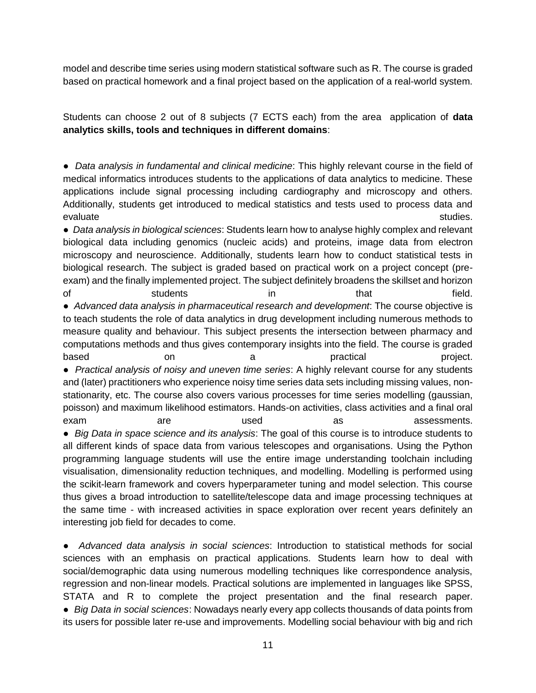model and describe time series using modern statistical software such as R. The course is graded based on practical homework and a final project based on the application of a real-world system.

Students can choose 2 out of 8 subjects (7 ECTS each) from the area application of **data analytics skills, tools and techniques in different domains**:

● *Data analysis in fundamental and clinical medicine*: This highly relevant course in the field of medical informatics introduces students to the applications of data analytics to medicine. These applications include signal processing including cardiography and microscopy and others. Additionally, students get introduced to medical statistics and tests used to process data and evaluate studies.

● *Data analysis in biological sciences*: Students learn how to analyse highly complex and relevant biological data including genomics (nucleic acids) and proteins, image data from electron microscopy and neuroscience. Additionally, students learn how to conduct statistical tests in biological research. The subject is graded based on practical work on a project concept (preexam) and the finally implemented project. The subject definitely broadens the skillset and horizon of students in that field. ● *Advanced data analysis in pharmaceutical research and development*: The course objective is to teach students the role of data analytics in drug development including numerous methods to measure quality and behaviour. This subject presents the intersection between pharmacy and computations methods and thus gives contemporary insights into the field. The course is graded based on on a practical project. ● *Practical analysis of noisy and uneven time series*: A highly relevant course for any students and (later) practitioners who experience noisy time series data sets including missing values, nonstationarity, etc. The course also covers various processes for time series modelling (gaussian, poisson) and maximum likelihood estimators. Hands-on activities, class activities and a final oral exam are are used as assessments. ● *Big Data in space science and its analysis*: The goal of this course is to introduce students to all different kinds of space data from various telescopes and organisations. Using the Python programming language students will use the entire image understanding toolchain including visualisation, dimensionality reduction techniques, and modelling. Modelling is performed using the scikit-learn framework and covers hyperparameter tuning and model selection. This course thus gives a broad introduction to satellite/telescope data and image processing techniques at the same time - with increased activities in space exploration over recent years definitely an interesting job field for decades to come.

● *Advanced data analysis in social sciences*: Introduction to statistical methods for social sciences with an emphasis on practical applications. Students learn how to deal with social/demographic data using numerous modelling techniques like correspondence analysis, regression and non-linear models. Practical solutions are implemented in languages like SPSS, STATA and R to complete the project presentation and the final research paper. ● *Big Data in social sciences*: Nowadays nearly every app collects thousands of data points from its users for possible later re-use and improvements. Modelling social behaviour with big and rich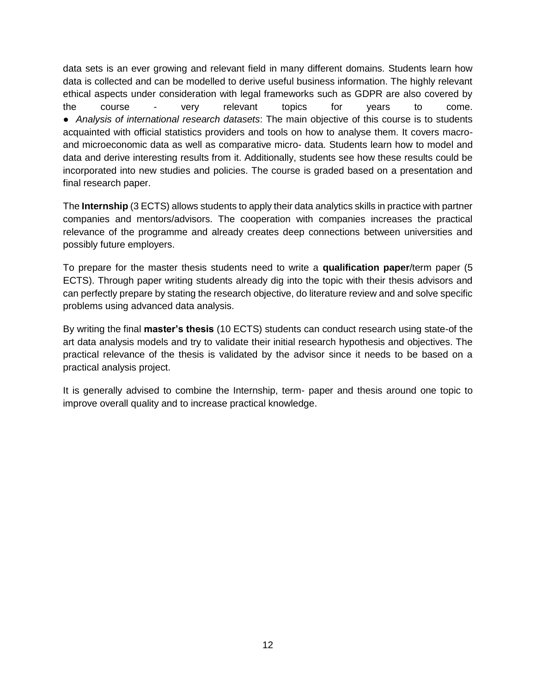data sets is an ever growing and relevant field in many different domains. Students learn how data is collected and can be modelled to derive useful business information. The highly relevant ethical aspects under consideration with legal frameworks such as GDPR are also covered by the course - very relevant topics for years to come. ● *Analysis of international research datasets*: The main objective of this course is to students acquainted with official statistics providers and tools on how to analyse them. It covers macroand microeconomic data as well as comparative micro- data. Students learn how to model and data and derive interesting results from it. Additionally, students see how these results could be incorporated into new studies and policies. The course is graded based on a presentation and final research paper.

The **Internship** (3 ECTS) allows students to apply their data analytics skills in practice with partner companies and mentors/advisors. The cooperation with companies increases the practical relevance of the programme and already creates deep connections between universities and possibly future employers.

To prepare for the master thesis students need to write a **qualification paper**/term paper (5 ECTS). Through paper writing students already dig into the topic with their thesis advisors and can perfectly prepare by stating the research objective, do literature review and and solve specific problems using advanced data analysis.

By writing the final **master's thesis** (10 ECTS) students can conduct research using state-of the art data analysis models and try to validate their initial research hypothesis and objectives. The practical relevance of the thesis is validated by the advisor since it needs to be based on a practical analysis project.

It is generally advised to combine the Internship, term- paper and thesis around one topic to improve overall quality and to increase practical knowledge.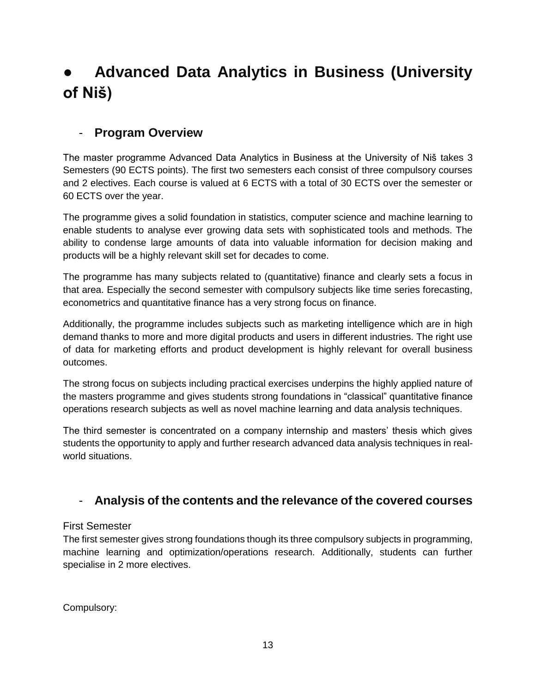# <span id="page-12-0"></span>● **Advanced Data Analytics in Business (University of Niš)**

# <span id="page-12-1"></span>- **Program Overview**

The master programme Advanced Data Analytics in Business at the University of Niš takes 3 Semesters (90 ECTS points). The first two semesters each consist of three compulsory courses and 2 electives. Each course is valued at 6 ECTS with a total of 30 ECTS over the semester or 60 ECTS over the year.

The programme gives a solid foundation in statistics, computer science and machine learning to enable students to analyse ever growing data sets with sophisticated tools and methods. The ability to condense large amounts of data into valuable information for decision making and products will be a highly relevant skill set for decades to come.

The programme has many subjects related to (quantitative) finance and clearly sets a focus in that area. Especially the second semester with compulsory subjects like time series forecasting, econometrics and quantitative finance has a very strong focus on finance.

Additionally, the programme includes subjects such as marketing intelligence which are in high demand thanks to more and more digital products and users in different industries. The right use of data for marketing efforts and product development is highly relevant for overall business outcomes.

The strong focus on subjects including practical exercises underpins the highly applied nature of the masters programme and gives students strong foundations in "classical" quantitative finance operations research subjects as well as novel machine learning and data analysis techniques.

The third semester is concentrated on a company internship and masters' thesis which gives students the opportunity to apply and further research advanced data analysis techniques in realworld situations.

# <span id="page-12-2"></span>- **Analysis of the contents and the relevance of the covered courses**

### <span id="page-12-3"></span>First Semester

The first semester gives strong foundations though its three compulsory subjects in programming, machine learning and optimization/operations research. Additionally, students can further specialise in 2 more electives.

Compulsory: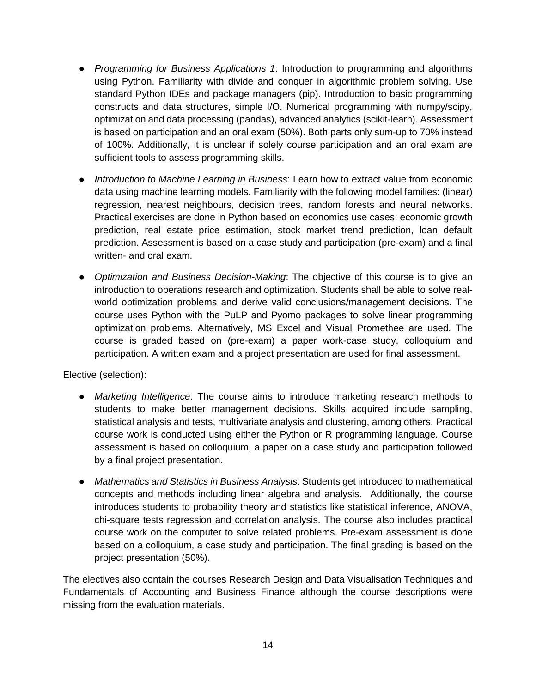- *Programming for Business Applications 1*: Introduction to programming and algorithms using Python. Familiarity with divide and conquer in algorithmic problem solving. Use standard Python IDEs and package managers (pip). Introduction to basic programming constructs and data structures, simple I/O. Numerical programming with numpy/scipy, optimization and data processing (pandas), advanced analytics (scikit-learn). Assessment is based on participation and an oral exam (50%). Both parts only sum-up to 70% instead of 100%. Additionally, it is unclear if solely course participation and an oral exam are sufficient tools to assess programming skills.
- *Introduction to Machine Learning in Business*: Learn how to extract value from economic data using machine learning models. Familiarity with the following model families: (linear) regression, nearest neighbours, decision trees, random forests and neural networks. Practical exercises are done in Python based on economics use cases: economic growth prediction, real estate price estimation, stock market trend prediction, loan default prediction. Assessment is based on a case study and participation (pre-exam) and a final written- and oral exam.
- *Optimization and Business Decision-Making*: The objective of this course is to give an introduction to operations research and optimization. Students shall be able to solve realworld optimization problems and derive valid conclusions/management decisions. The course uses Python with the PuLP and Pyomo packages to solve linear programming optimization problems. Alternatively, MS Excel and Visual Promethee are used. The course is graded based on (pre-exam) a paper work-case study, colloquium and participation. A written exam and a project presentation are used for final assessment.

Elective (selection):

- *Marketing Intelligence*: The course aims to introduce marketing research methods to students to make better management decisions. Skills acquired include sampling, statistical analysis and tests, multivariate analysis and clustering, among others. Practical course work is conducted using either the Python or R programming language. Course assessment is based on colloquium, a paper on a case study and participation followed by a final project presentation.
- *Mathematics and Statistics in Business Analysis*: Students get introduced to mathematical concepts and methods including linear algebra and analysis. Additionally, the course introduces students to probability theory and statistics like statistical inference, ANOVA, chi-square tests regression and correlation analysis. The course also includes practical course work on the computer to solve related problems. Pre-exam assessment is done based on a colloquium, a case study and participation. The final grading is based on the project presentation (50%).

The electives also contain the courses Research Design and Data Visualisation Techniques and Fundamentals of Accounting and Business Finance although the course descriptions were missing from the evaluation materials.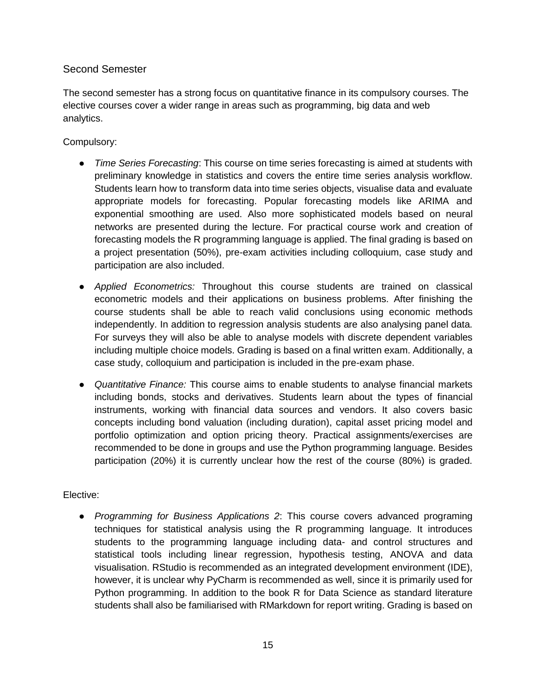### <span id="page-14-0"></span>Second Semester

The second semester has a strong focus on quantitative finance in its compulsory courses. The elective courses cover a wider range in areas such as programming, big data and web analytics.

#### Compulsory:

- *Time Series Forecasting*: This course on time series forecasting is aimed at students with preliminary knowledge in statistics and covers the entire time series analysis workflow. Students learn how to transform data into time series objects, visualise data and evaluate appropriate models for forecasting. Popular forecasting models like ARIMA and exponential smoothing are used. Also more sophisticated models based on neural networks are presented during the lecture. For practical course work and creation of forecasting models the R programming language is applied. The final grading is based on a project presentation (50%), pre-exam activities including colloquium, case study and participation are also included.
- *Applied Econometrics:* Throughout this course students are trained on classical econometric models and their applications on business problems. After finishing the course students shall be able to reach valid conclusions using economic methods independently. In addition to regression analysis students are also analysing panel data. For surveys they will also be able to analyse models with discrete dependent variables including multiple choice models. Grading is based on a final written exam. Additionally, a case study, colloquium and participation is included in the pre-exam phase.
- *Quantitative Finance:* This course aims to enable students to analyse financial markets including bonds, stocks and derivatives. Students learn about the types of financial instruments, working with financial data sources and vendors. It also covers basic concepts including bond valuation (including duration), capital asset pricing model and portfolio optimization and option pricing theory. Practical assignments/exercises are recommended to be done in groups and use the Python programming language. Besides participation (20%) it is currently unclear how the rest of the course (80%) is graded.

#### Elective:

● *Programming for Business Applications 2*: This course covers advanced programing techniques for statistical analysis using the R programming language. It introduces students to the programming language including data- and control structures and statistical tools including linear regression, hypothesis testing, ANOVA and data visualisation. RStudio is recommended as an integrated development environment (IDE), however, it is unclear why PyCharm is recommended as well, since it is primarily used for Python programming. In addition to the book R for Data Science as standard literature students shall also be familiarised with RMarkdown for report writing. Grading is based on